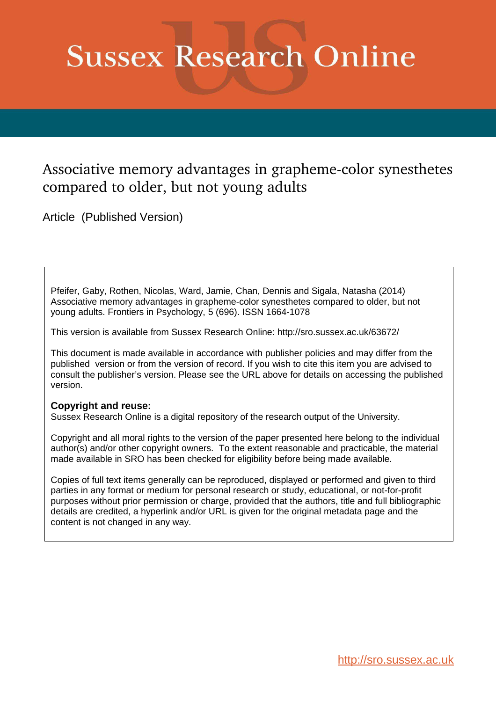# **Sussex Research Online**

# Associative memory advantages in grapheme-color synesthetes compared to older, but not young adults

Article (Published Version)

Pfeifer, Gaby, Rothen, Nicolas, Ward, Jamie, Chan, Dennis and Sigala, Natasha (2014) Associative memory advantages in grapheme-color synesthetes compared to older, but not young adults. Frontiers in Psychology, 5 (696). ISSN 1664-1078

This version is available from Sussex Research Online: http://sro.sussex.ac.uk/63672/

This document is made available in accordance with publisher policies and may differ from the published version or from the version of record. If you wish to cite this item you are advised to consult the publisher's version. Please see the URL above for details on accessing the published version.

# **Copyright and reuse:**

Sussex Research Online is a digital repository of the research output of the University.

Copyright and all moral rights to the version of the paper presented here belong to the individual author(s) and/or other copyright owners. To the extent reasonable and practicable, the material made available in SRO has been checked for eligibility before being made available.

Copies of full text items generally can be reproduced, displayed or performed and given to third parties in any format or medium for personal research or study, educational, or not-for-profit purposes without prior permission or charge, provided that the authors, title and full bibliographic details are credited, a hyperlink and/or URL is given for the original metadata page and the content is not changed in any way.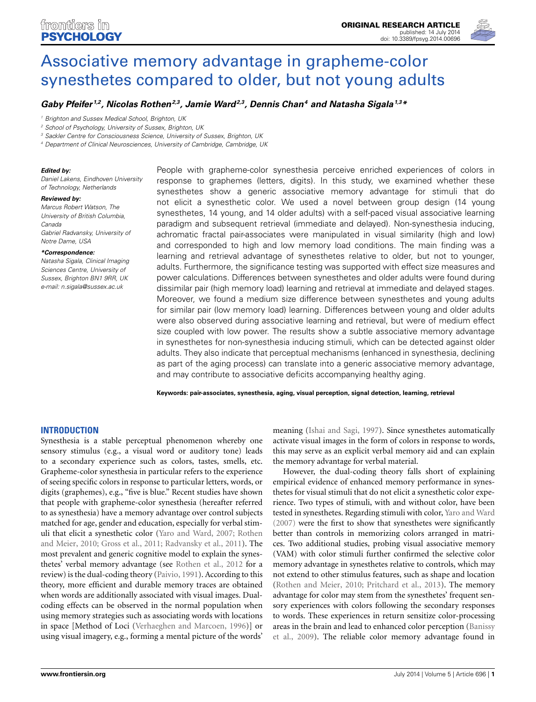

# Associative memory advantage in grapheme-color [synesthetes compared to older, but not young adults](http://www.frontiersin.org/journal/10.3389/fpsyg.2014.00696/abstract)

### **[Gaby Pfeifer](http://community.frontiersin.org/people/u/170527) 1,2, [Nicolas Rothen](http://community.frontiersin.org/people/u/69850)2,3, [Jamie Ward](http://community.frontiersin.org/people/u/58614)2,3, Dennis Chan<sup>4</sup> and [Natasha Sigala](http://community.frontiersin.org/people/u/2054)1,3\***

*<sup>1</sup> Brighton and Sussex Medical School, Brighton, UK*

*<sup>2</sup> School of Psychology, University of Sussex, Brighton, UK*

*<sup>3</sup> Sackler Centre for Consciousness Science, University of Sussex, Brighton, UK*

*<sup>4</sup> Department of Clinical Neurosciences, University of Cambridge, Cambridge, UK*

#### **Edited by:**

*Daniel Lakens, Eindhoven University of Technology, Netherlands*

#### **Reviewed by:**

*Marcus Robert Watson, The University of British Columbia, Canada Gabriel Radvansky, University of Notre Dame, USA*

#### **\*Correspondence:**

*Natasha Sigala, Clinical Imaging Sciences Centre, University of Sussex, Brighton BN1 9RR, UK e-mail: [n.sigala@sussex.ac.uk](mailto:n.sigala@sussex.ac.uk)*

People with grapheme-color synesthesia perceive enriched experiences of colors in response to graphemes (letters, digits). In this study, we examined whether these synesthetes show a generic associative memory advantage for stimuli that do not elicit a synesthetic color. We used a novel between group design (14 young synesthetes, 14 young, and 14 older adults) with a self-paced visual associative learning paradigm and subsequent retrieval (immediate and delayed). Non-synesthesia inducing, achromatic fractal pair-associates were manipulated in visual similarity (high and low) and corresponded to high and low memory load conditions. The main finding was a learning and retrieval advantage of synesthetes relative to older, but not to younger, adults. Furthermore, the significance testing was supported with effect size measures and power calculations. Differences between synesthetes and older adults were found during dissimilar pair (high memory load) learning and retrieval at immediate and delayed stages. Moreover, we found a medium size difference between synesthetes and young adults for similar pair (low memory load) learning. Differences between young and older adults were also observed during associative learning and retrieval, but were of medium effect size coupled with low power. The results show a subtle associative memory advantage in synesthetes for non-synesthesia inducing stimuli, which can be detected against older adults. They also indicate that perceptual mechanisms (enhanced in synesthesia, declining as part of the aging process) can translate into a generic associative memory advantage, and may contribute to associative deficits accompanying healthy aging.

**Keywords: pair-associates, synesthesia, aging, visual perception, signal detection, learning, retrieval**

#### **INTRODUCTION**

Synesthesia is a stable perceptual phenomenon whereby one sensory stimulus (e.g., a visual word or auditory tone) leads to a secondary experience such as colors, tastes, smells, etc. Grapheme-color synesthesia in particular refers to the experience of seeing specific colors in response to particular letters, words, or digits (graphemes), e.g., "five is blue." Recent studies have shown that people with grapheme-color synesthesia (hereafter referred to as synesthesia) have a memory advantage over control subjects matched for age, gender and education, especially for verbal stimuli that el[icit a synesthetic color](#page-11-0) [\(Yaro and Ward](#page-12-0)[,](#page-11-0) [2007;](#page-12-0) Rothen and Meier, [2010;](#page-11-0) [Gross et al.](#page-11-1), [2011](#page-11-1); [Radvansky et al.](#page-11-2), [2011\)](#page-11-2). The most prevalent and generic cognitive model to explain the synesthetes' verbal memory advantage (see [Rothen et al., 2012](#page-11-3) for a review) is the dual-coding theory [\(Paivio](#page-11-4), [1991](#page-11-4)). According to this theory, more efficient and durable memory traces are obtained when words are additionally associated with visual images. Dualcoding effects can be observed in the normal population when using memory strategies such as associating words with locations in space [Method of Loci [\(Verhaeghen and Marcoen, 1996](#page-12-1))] or using visual imagery, e.g., forming a mental picture of the words'

meaning [\(Ishai and Sagi](#page-11-5), [1997\)](#page-11-5). Since synesthetes automatically activate visual images in the form of colors in response to words, this may serve as an explicit verbal memory aid and can explain the memory advantage for verbal material.

However, the dual-coding theory falls short of explaining empirical evidence of enhanced memory performance in synesthetes for visual stimuli that do not elicit a synesthetic color experience. Two types of stimuli, with and without color, have been tested in synesthetes. Regarding stimuli with color, [Yaro and Ward](#page-12-0) [\(2007\)](#page-12-0) were the first to show that synesthetes were significantly better than controls in memorizing colors arranged in matrices. Two additional studies, probing visual associative memory (VAM) with color stimuli further confirmed the selective color memory advantage in synesthetes relative to controls, which may not extend to other stimulus features, such as shape and location [\(Rothen and Meier, 2010;](#page-11-0) [Pritchard et al., 2013\)](#page-11-6). The memory advantage for color may stem from the synesthetes' frequent sensory experiences with colors following the secondary responses to words. These experiences in return sensitize color-processing areas [in the brain and lead to enhanced color perception \(](#page-11-7)Banissy et al., [2009\)](#page-11-7). The reliable color memory advantage found in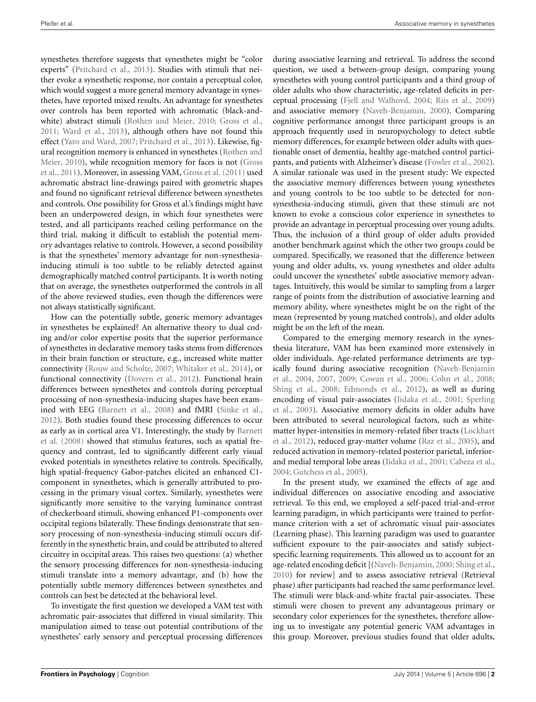synesthetes therefore suggests that synesthetes might be "color experts" [\(Pritchard et al.](#page-11-6), [2013](#page-11-6)). Studies with stimuli that neither evoke a synesthetic response, nor contain a perceptual color, which would suggest a more general memory advantage in synesthetes, have reported mixed results. An advantage for synesthetes over controls has been reported with achromatic (black-andwhite) abstract stimuli [\(Rothen and Meier, 2010](#page-11-0); [Gross et al.](#page-11-1), [2011](#page-11-1); [Ward et al., 2013\)](#page-12-2), although others have not found this effect [\(Yaro and Ward, 2007;](#page-12-0) [Pritchard et al., 2013\)](#page-11-6). Likewise, figural r[ecognition memory is enhanced in synesthetes \(](#page-11-0)Rothen and Mei[er,](#page-11-1) [2010](#page-11-0)[\), while recognition memory for faces is not \(](#page-11-1)Gross et al., [2011](#page-11-1)). Moreover, in assessing VAM, [Gross et al. \(2011\)](#page-11-1) used achromatic abstract line-drawings paired with geometric shapes and found no significant retrieval difference between synesthetes and controls. One possibility for Gross et al.'s findings might have been an underpowered design, in which four synesthetes were tested, and all participants reached ceiling performance on the third trial, making it difficult to establish the potential memory advantages relative to controls. However, a second possibility is that the synesthetes' memory advantage for non-synesthesiainducing stimuli is too subtle to be reliably detected against demographically matched control participants. It is worth noting that on average, the synesthetes outperformed the controls in all of the above reviewed studies, even though the differences were not always statistically significant.

How can the potentially subtle, generic memory advantages in synesthetes be explained? An alternative theory to dual coding and/or color expertise posits that the superior performance of synesthetes in declarative memory tasks stems from differences in their brain function or structure, e.g., increased white matter connectivity [\(Rouw and Scholte](#page-11-8), [2007;](#page-11-8) [Whitaker et al., 2014](#page-12-3)), or functional connectivity [\(Dovern et al.](#page-11-9), [2012](#page-11-9)). Functional brain differences between synesthetes and controls during perceptual processing of non-synesthesia-inducing shapes have been examined with EEG [\(Barnett et al.](#page-11-10), [2008\)](#page-11-10) and fMRI [\(Sinke et al.](#page-11-11), [2012](#page-11-11)). Both studies found these processing differences to occur as ea[rly as in cortical area V1. Interestingly, the study by](#page-11-10) Barnett et al. [\(2008\)](#page-11-10) showed that stimulus features, such as spatial frequency and contrast, led to significantly different early visual evoked potentials in synesthetes relative to controls. Specifically, high spatial-frequency Gabor-patches elicited an enhanced C1 component in synesthetes, which is generally attributed to processing in the primary visual cortex. Similarly, synesthetes were significantly more sensitive to the varying luminance contrast of checkerboard stimuli, showing enhanced P1-components over occipital regions bilaterally. These findings demonstrate that sensory processing of non-synesthesia-inducing stimuli occurs differently in the synesthetic brain, and could be attributed to altered circuitry in occipital areas. This raises two questions: (a) whether the sensory processing differences for non-synesthesia-inducing stimuli translate into a memory advantage, and (b) how the potentially subtle memory differences between synesthetes and controls can best be detected at the behavioral level.

To investigate the first question we developed a VAM test with achromatic pair-associates that differed in visual similarity. This manipulation aimed to tease out potential contributions of the synesthetes' early sensory and perceptual processing differences

during associative learning and retrieval. To address the second question, we used a between-group design, comparing young synesthetes with young control participants and a third group of older adults who show characteristic, age-related deficits in perceptual processing [\(Fjell and Walhovd, 2004;](#page-11-12) [Riis et al., 2009](#page-11-13)) and associative memory [\(Naveh-Benjamin, 2000\)](#page-11-14). Comparing cognitive performance amongst three participant groups is an approach frequently used in neuropsychology to detect subtle memory differences, for example between older adults with questionable onset of dementia, healthy age-matched control participants, and patients with Alzheimer's disease [\(Fowler et al.](#page-11-15), [2002\)](#page-11-15). A similar rationale was used in the present study: We expected the associative memory differences between young synesthetes and young controls to be too subtle to be detected for nonsynesthesia-inducing stimuli, given that these stimuli are not known to evoke a conscious color experience in synesthetes to provide an advantage in perceptual processing over young adults. Thus, the inclusion of a third group of older adults provided another benchmark against which the other two groups could be compared. Specifically, we reasoned that the difference between young and older adults, vs. young synesthetes and older adults could uncover the synesthetes' subtle associative memory advantages. Intuitively, this would be similar to sampling from a larger range of points from the distribution of associative learning and memory ability, where synesthetes might be on the right of the mean (represented by young matched controls), and older adults might be on the left of the mean.

Compared to the emerging memory research in the synesthesia literature, VAM has been examined more extensively in older individuals. Age-related performance detriments are typicall[y found during associative recognition \(](#page-11-16)Naveh-Benjamin et al., [2004](#page-11-16), [2007](#page-11-17), [2009](#page-11-18); [Cowan et al., 2006;](#page-11-19) [Cohn et al.](#page-11-20), [2008](#page-11-20); [Shing et al., 2008](#page-11-21); [Edmonds et al., 2012](#page-11-22)), as well as during enco[ding of visual pair-associates](#page-11-24) [\(Iidaka et al.](#page-11-23)[,](#page-11-24) [2001](#page-11-23)[;](#page-11-24) Sperling et al., [2003](#page-11-24)). Associative memory deficits in older adults have been attributed to several neurological factors, such as whitematt[er hyper-intensities in memory-related fiber tracts \(](#page-11-25)Lockhart et al., [2012\)](#page-11-25), reduced gray-matter volume [\(Raz et al., 2005\)](#page-11-26), and reduced activation in memory-related posterior parietal, inferiorand medial temporal lobe areas [\(Iidaka et al.](#page-11-23), [2001](#page-11-23); [Cabeza et al.](#page-11-27), [2004](#page-11-27); [Gutchess et al.](#page-11-28), [2005\)](#page-11-28).

<span id="page-2-0"></span>In the present study, we examined the effects of age and individual differences on associative encoding and associative retrieval. To this end, we employed a self-paced trial-and-error learning paradigm, in which participants were trained to performance criterion with a set of achromatic visual pair-associates (Learning phase). This learning paradigm was used to guarantee sufficient exposure to the pair-associates and satisfy subjectspecific learning requirements. This allowed us to account for an age-related encoding deficit [[\(Naveh-Benjamin](#page-11-14), [2000](#page-11-14); [Shing et al.](#page-11-29), [2010](#page-11-29)) for review] and to assess associative retrieval (Retrieval phase) after participants had reached the same performance level. The stimuli were black-and-white fractal pair-associates. These stimuli were chosen to prevent any advantageous primary or secondary color experiences for the synesthetes, therefore allowing us to investigate any potential generic VAM advantages in this group. Moreover, previous studies found that older adults,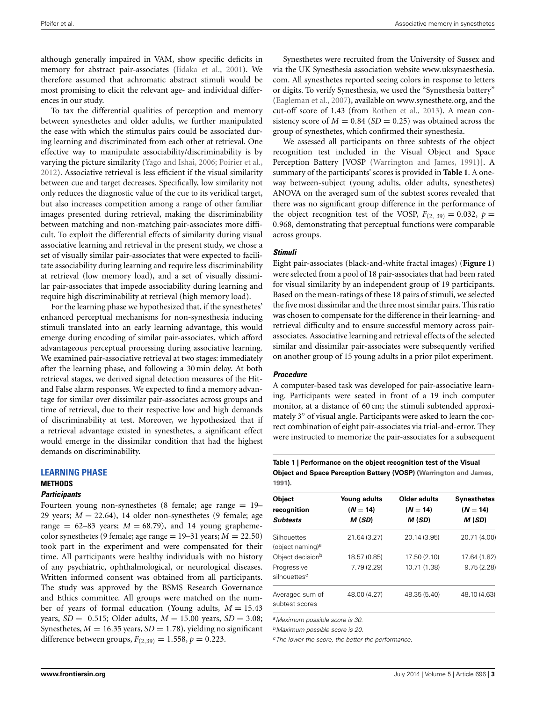although generally impaired in VAM, show specific deficits in memory for abstract pair-associates [\(Iidaka et al.](#page-11-23), [2001](#page-11-23)). We therefore assumed that achromatic abstract stimuli would be most promising to elicit the relevant age- and individual differences in our study.

To tax the differential qualities of perception and memory between synesthetes and older adults, we further manipulated the ease with which the stimulus pairs could be associated during learning and discriminated from each other at retrieval. One effective way to manipulate associability/discriminability is by varying the picture similarity [\(Yago and Ishai](#page-12-4), [2006;](#page-12-4) [Poirier et al.,](#page-11-30) [2012](#page-11-30)). Associative retrieval is less efficient if the visual similarity between cue and target decreases. Specifically, low similarity not only reduces the diagnostic value of the cue to its veridical target, but also increases competition among a range of other familiar images presented during retrieval, making the discriminability between matching and non-matching pair-associates more difficult. To exploit the differential effects of similarity during visual associative learning and retrieval in the present study, we chose a set of visually similar pair-associates that were expected to facilitate associability during learning and require less discriminability at retrieval (low memory load), and a set of visually dissimilar pair-associates that impede associability during learning and require high discriminability at retrieval (high memory load).

For the learning phase we hypothesized that, if the synesthetes' enhanced perceptual mechanisms for non-synesthesia inducing stimuli translated into an early learning advantage, this would emerge during encoding of similar pair-associates, which afford advantageous perceptual processing during associative learning. We examined pair-associative retrieval at two stages: immediately after the learning phase, and following a 30 min delay. At both retrieval stages, we derived signal detection measures of the Hitand False alarm responses. We expected to find a memory advantage for similar over dissimilar pair-associates across groups and time of retrieval, due to their respective low and high demands of discriminability at test. Moreover, we hypothesized that if a retrieval advantage existed in synesthetes, a significant effect would emerge in the dissimilar condition that had the highest demands on discriminability.

#### <span id="page-3-0"></span>**LEARNING PHASE**

## **METHODS**

#### **Participants**

Fourteen young non-synesthetes (8 female; age range  $= 19$ – 29 years;  $M = 22.64$ ), 14 older non-synesthetes (9 female; age range =  $62-83$  years;  $M = 68.79$ ), and 14 young graphemecolor synesthetes (9 female; age range  $= 19-31$  years;  $M = 22.50$ ) took part in the experiment and were compensated for their time. All participants were healthy individuals with no history of any psychiatric, ophthalmological, or neurological diseases. Written informed consent was obtained from all participants. The study was approved by the BSMS Research Governance and Ethics committee. All groups were matched on the number of years of formal education (Young adults,  $M = 15.43$ years, *SD* = 0.515; Older adults, *M* = 15.00 years, *SD* = 3.08; Synesthetes,  $M = 16.35$  years,  $SD = 1.78$ ), yielding no significant difference between groups,  $F_{(2,39)} = 1.558, p = 0.223$ .

Synesthetes were recruited from the University of Sussex and via the UK Synesthesia association website www.[uksynaesthesia](www.uksynaesthesia.com). [com.](www.uksynaesthesia.com) All synesthetes reported seeing colors in response to letters or digits. To verify Synesthesia, we used the "Synesthesia battery" [\(Eagleman et al., 2007](#page-11-31)), available on www.[synesthete](www.synesthete.org).org, and the cut-off score of 1.43 (from [Rothen et al.](#page-11-32), [2013](#page-11-32)). A mean consistency score of  $M = 0.84$  (*SD* = 0.25) was obtained across the group of synesthetes, which confirmed their synesthesia.

We assessed all participants on three subtests of the object recognition test included in the Visual Object and Space Perception Battery [VOSP [\(Warrington and James, 1991\)](#page-12-5)]. A summary of the participants' scores is provided in **[Table 1](#page-2-0)**. A oneway between-subject (young adults, older adults, synesthetes) ANOVA on the averaged sum of the subtest scores revealed that there was no significant group difference in the performance of the object recognition test of the VOSP,  $F_{(2, 39)} = 0.032$ ,  $p =$ 0.968, demonstrating that perceptual functions were comparable across groups.

#### **Stimuli**

Eight pair-associates (black-and-white fractal images) (**[Figure 1](#page-3-0)**) were selected from a pool of 18 pair-associates that had been rated for visual similarity by an independent group of 19 participants. Based on the mean-ratings of these 18 pairs of stimuli, we selected the five most dissimilar and the three most similar pairs. This ratio was chosen to compensate for the difference in their learning- and retrieval difficulty and to ensure successful memory across pairassociates. Associative learning and retrieval effects of the selected similar and dissimilar pair-associates were subsequently verified on another group of 15 young adults in a prior pilot experiment.

#### **Procedure**

A computer-based task was developed for pair-associative learning. Participants were seated in front of a 19 inch computer monitor, at a distance of 60 cm; the stimuli subtended approximately 3◦ of visual angle. Participants were asked to learn the correct combination of eight pair-associates via trial-and-error. They were instructed to memorize the pair-associates for a subsequent

**Table 1 | Performance on the object recognition test of the Visual Object and Space Perception Battery (VOSP) [\(Warrington and James](#page-12-5), [1991\)](#page-12-5).**

| <b>Object</b><br>recognition<br><b>Subtests</b> | Young adults<br>$(N = 14)$<br>M(SD) | Older adults<br>$(N = 14)$<br>M(SD) | <b>Synesthetes</b><br>$(N = 14)$<br>M (SD) |
|-------------------------------------------------|-------------------------------------|-------------------------------------|--------------------------------------------|
| Silhouettes<br>(object naming) <sup>a</sup>     | 21.64 (3.27)                        | 20.14 (3.95)                        | 20.71 (4.00)                               |
| Object decision <sup>b</sup>                    | 18.57 (0.85)                        | 17.50 (2.10)                        | 17.64 (1.82)                               |
| Progressive<br>silhouettes <sup>c</sup>         | 7.79(2.29)                          | 10.71 (1.38)                        | 9.75(2.28)                                 |
| Averaged sum of<br>subtest scores               | 48.00 (4.27)                        | 48.35 (5.40)                        | 48.10 (4.63)                               |

*<sup>a</sup>Maximum possible score is 30.*

*<sup>b</sup>Maximum possible score is 20.*

*<sup>c</sup>The lower the score, the better the performance.*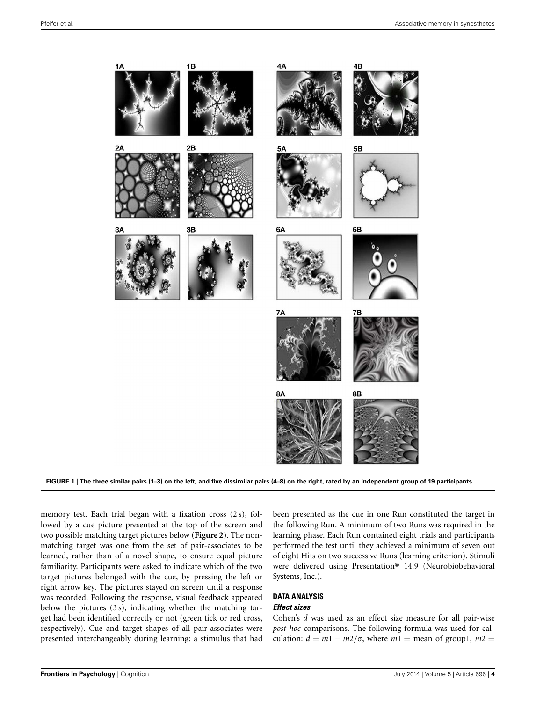<span id="page-4-1"></span><span id="page-4-0"></span>

memory test. Each trial began with a fixation cross (2 s), followed by a cue picture presented at the top of the screen and two possible matching target pictures below (**[Figure 2](#page-4-0)**). The nonmatching target was one from the set of pair-associates to be learned, rather than of a novel shape, to ensure equal picture familiarity. Participants were asked to indicate which of the two target pictures belonged with the cue, by pressing the left or right arrow key. The pictures stayed on screen until a response was recorded. Following the response, visual feedback appeared below the pictures (3 s), indicating whether the matching target had been identified correctly or not (green tick or red cross, respectively). Cue and target shapes of all pair-associates were presented interchangeably during learning: a stimulus that had been presented as the cue in one Run constituted the target in the following Run. A minimum of two Runs was required in the learning phase. Each Run contained eight trials and participants performed the test until they achieved a minimum of seven out of eight Hits on two successive Runs (learning criterion). Stimuli were delivered using Presentation® 14.9 (Neurobiobehavioral Systems, Inc.).

#### **DATA ANALYSIS Effect sizes**

Cohen's *d* was used as an effect size measure for all pair-wise *post-hoc* comparisons. The following formula was used for calculation:  $d = m1 - m2/\sigma$ , where  $m1 = \text{mean of group1}, m2 =$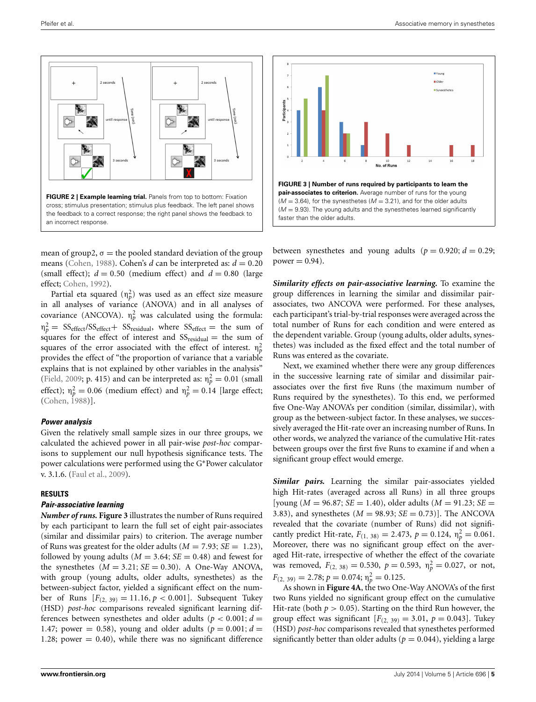



mean of group2,  $\sigma$  = the pooled standard deviation of the group means [\(Cohen](#page-11-33), [1988](#page-11-33)). Cohen's *d* can be interpreted as:  $d = 0.20$ (small effect);  $d = 0.50$  (medium effect) and  $d = 0.80$  (large effect; [Cohen, 1992](#page-11-34)).

Partial eta squared  $(\eta_p^2)$  was used as an effect size measure in all analyses of variance (ANOVA) and in all analyses of covariance (ANCOVA).  $n_p^2$  was calculated using the formula:  $\eta_p^2 = SS_{\text{effect}}/SS_{\text{effect}} + SS_{\text{residual}}$ , where  $SS_{\text{effect}} =$  the sum of squares for the effect of interest and  $SS_{residual}$  = the sum of squares of the error associated with the effect of interest.  $\eta_p^2$ provides the effect of "the proportion of variance that a variable explains that is not explained by other variables in the analysis" [\(Field, 2009;](#page-11-35) p. 415) and can be interpreted as:  $n_p^2 = 0.01$  (small effect);  $n_p^2 = 0.06$  (medium effect) and  $n_p^2 = 0.14$  [large effect; [\(Cohen](#page-11-33), [1988\)](#page-11-33)].

#### **Power analysis**

Given the relatively small sample sizes in our three groups, we calculated the achieved power in all pair-wise *post-hoc* comparisons to supplement our null hypothesis significance tests. The power calculations were performed using the G∗Power calculator v. 3.1.6. [\(Faul et al.](#page-11-36), [2009](#page-11-36)).

#### **RESULTS**

#### **Pair-associative learning**

<span id="page-5-0"></span>*Number of runs.* **[Figure 3](#page-4-1)** illustrates the number of Runs required by each participant to learn the full set of eight pair-associates (similar and dissimilar pairs) to criterion. The average number of Runs was greatest for the older adults  $(M = 7.93; SE = 1.23)$ , followed by young adults ( $M = 3.64$ ;  $SE = 0.48$ ) and fewest for the synesthetes  $(M = 3.21; SE = 0.30)$ . A One-Way ANOVA, with group (young adults, older adults, synesthetes) as the between-subject factor, yielded a significant effect on the number of Runs  $[F(2, 39)] = 11.16, p < 0.001$ . Subsequent Tukey (HSD) *post-hoc* comparisons revealed significant learning differences between synesthetes and older adults ( $p < 0.001$ ;  $d =$ 1.47; power = 0.58), young and older adults ( $p = 0.001$ ;  $d =$ 1.28; power  $= 0.40$ ), while there was no significant difference

between synesthetes and young adults  $(p = 0.920; d = 0.29;$  $power = 0.94$ ).

*Similarity effects on pair-associative learning.* To examine the group differences in learning the similar and dissimilar pairassociates, two ANCOVA were performed. For these analyses, each participant's trial-by-trial responses were averaged across the total number of Runs for each condition and were entered as the dependent variable. Group (young adults, older adults, synesthetes) was included as the fixed effect and the total number of Runs was entered as the covariate.

Next, we examined whether there were any group differences in the successive learning rate of similar and dissimilar pairassociates over the first five Runs (the maximum number of Runs required by the synesthetes). To this end, we performed five One-Way ANOVA's per condition (similar, dissimilar), with group as the between-subject factor. In these analyses, we successively averaged the Hit-rate over an increasing number of Runs. In other words, we analyzed the variance of the cumulative Hit-rates between groups over the first five Runs to examine if and when a significant group effect would emerge.

*Similar pairs.* Learning the similar pair-associates yielded high Hit-rates (averaged across all Runs) in all three groups  $[$ young (*M* = 96.87; *SE* = 1.40), older adults (*M* = 91.23; *SE* = 3.83), and synesthetes  $(M = 98.93; SE = 0.73)$ ]. The ANCOVA revealed that the covariate (number of Runs) did not significantly predict Hit-rate,  $F_{(1, 38)} = 2.473$ ,  $p = 0.124$ ,  $\eta_p^2 = 0.061$ . Moreover, there was no significant group effect on the averaged Hit-rate, irrespective of whether the effect of the covariate was removed,  $F_{(2, 38)} = 0.530$ ,  $p = 0.593$ ,  $\eta_p^2 = 0.027$ , or not,  $F_{(2, 39)} = 2.78; p = 0.074; \eta_p^2 = 0.125.$ 

As shown in **[Figure 4A](#page-5-0)**, the two One-Way ANOVA's of the first two Runs yielded no significant group effect on the cumulative Hit-rate (both  $p > 0.05$ ). Starting on the third Run however, the group effect was significant  $[F(2, 39) = 3.01, p = 0.043]$ . Tukey (HSD) *post-hoc* comparisons revealed that synesthetes performed significantly better than older adults ( $p = 0.044$ ), yielding a large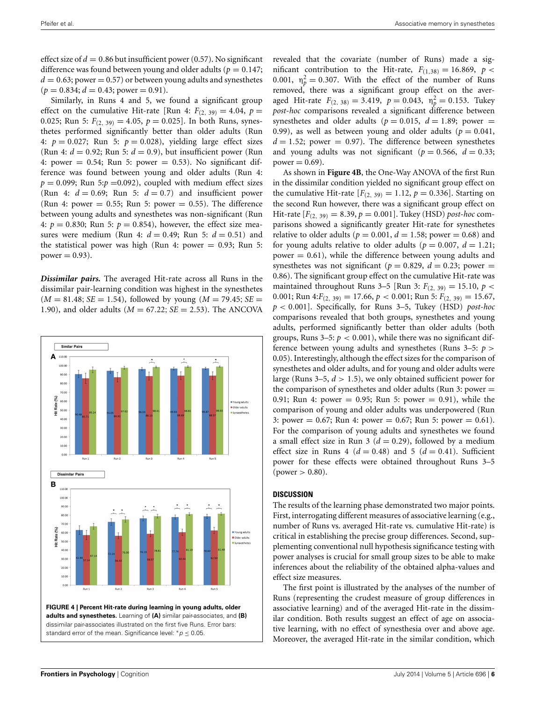effect size of  $d = 0.86$  but insufficient power (0.57). No significant difference was found between young and older adults ( $p = 0.147$ ;  $d = 0.63$ ; power = 0.57) or between young adults and synesthetes  $(p = 0.834; d = 0.43; power = 0.91).$ 

Similarly, in Runs 4 and 5, we found a significant group effect on the cumulative Hit-rate [Run 4:  $F_{(2, 39)} = 4.04$ ,  $p =$ 0.025; Run 5:  $F_{(2, 39)} = 4.05$ ,  $p = 0.025$ ]. In both Runs, synesthetes performed significantly better than older adults (Run 4:  $p = 0.027$ ; Run 5:  $p = 0.028$ ), yielding large effect sizes (Run 4:  $d = 0.92$ ; Run 5:  $d = 0.9$ ), but insufficient power (Run 4: power  $= 0.54$ ; Run 5: power  $= 0.53$ ). No significant difference was found between young and older adults (Run 4:  $p = 0.099$ ; Run 5: $p = 0.092$ ), coupled with medium effect sizes (Run 4:  $d = 0.69$ ; Run 5:  $d = 0.7$ ) and insufficient power (Run 4: power  $= 0.55$ ; Run 5: power  $= 0.55$ ). The difference between young adults and synesthetes was non-significant (Run 4:  $p = 0.830$ ; Run 5:  $p = 0.854$ ), however, the effect size measures were medium (Run 4:  $d = 0.49$ ; Run 5:  $d = 0.51$ ) and the statistical power was high (Run 4: power  $= 0.93$ ; Run 5: power  $= 0.93$ ).

*Dissimilar pairs.* The averaged Hit-rate across all Runs in the dissimilar pair-learning condition was highest in the synesthetes  $(M = 81.48; SE = 1.54)$ , followed by young  $(M = 79.45; SE = 1.54)$ 1.90), and older adults (*M* = 67.22; *SE* = 2.53). The ANCOVA



revealed that the covariate (number of Runs) made a significant contribution to the Hit-rate,  $F_{(1,38)} = 16.869$ ,  $p <$ 0.001,  $\eta_p^2 = 0.307$ . With the effect of the number of Runs removed, there was a significant group effect on the averaged Hit-rate  $F_{(2, 38)} = 3.419$ ,  $p = 0.043$ ,  $\eta_p^2 = 0.153$ . Tukey *post-hoc* comparisons revealed a significant difference between synesthetes and older adults ( $p = 0.015$ ,  $d = 1.89$ ; power = 0.99), as well as between young and older adults ( $p = 0.041$ ,  $d = 1.52$ ; power = 0.97). The difference between synesthetes and young adults was not significant ( $p = 0.566$ ,  $d = 0.33$ ;  $power = 0.69$ .

As shown in **[Figure 4B](#page-5-0)**, the One-Way ANOVA of the first Run in the dissimilar condition yielded no significant group effect on the cumulative Hit-rate  $[F(2, 39) = 1.12, p = 0.336]$ . Starting on the second Run however, there was a significant group effect on Hit-rate  $[F_{(2, 39)} = 8.39, p = 0.001]$ . Tukey (HSD) *post-hoc* comparisons showed a significantly greater Hit-rate for synesthetes relative to older adults ( $p = 0.001$ ,  $d = 1.58$ ; power = 0.68) and for young adults relative to older adults ( $p = 0.007$ ,  $d = 1.21$ ; power  $= 0.61$ , while the difference between young adults and synesthetes was not significant ( $p = 0.829$ ,  $d = 0.23$ ; power = 0.86). The significant group effect on the cumulative Hit-rate was maintained throughout Runs 3–5 [Run 3:  $F_{(2, 39)} = 15.10, p <$ 0.001; Run 4: $F_{(2, 39)} = 17.66$ ,  $p < 0.001$ ; Run 5:  $F_{(2, 39)} = 15.67$ , *p* < 0.001]. Specifically, for Runs 3–5, Tukey (HSD) *post-hoc* comparisons revealed that both groups, synesthetes and young adults, performed significantly better than older adults (both groups, Runs  $3-5$ :  $p < 0.001$ ), while there was no significant difference between young adults and synesthetes (Runs 3–5: *p* > 0.05). Interestingly, although the effect sizes for the comparison of synesthetes and older adults, and for young and older adults were large (Runs  $3-5$ ,  $d > 1.5$ ), we only obtained sufficient power for the comparison of synesthetes and older adults (Run 3: power  $=$ 0.91; Run 4: power = 0.95; Run 5: power = 0.91), while the comparison of young and older adults was underpowered (Run 3: power = 0.67; Run 4: power = 0.67; Run 5: power = 0.61). For the comparison of young adults and synesthetes we found a small effect size in Run 3 ( $d = 0.29$ ), followed by a medium effect size in Runs 4 ( $d = 0.48$ ) and 5 ( $d = 0.41$ ). Sufficient power for these effects were obtained throughout Runs 3–5  $(power > 0.80)$ .

#### **DISCUSSION**

The results of the learning phase demonstrated two major points. First, interrogating different measures of associative learning (e.g., number of Runs vs. averaged Hit-rate vs. cumulative Hit-rate) is critical in establishing the precise group differences. Second, supplementing conventional null hypothesis significance testing with power analyses is crucial for small group sizes to be able to make inferences about the reliability of the obtained alpha-values and effect size measures.

<span id="page-6-0"></span>The first point is illustrated by the analyses of the number of Runs (representing the crudest measure of group differences in associative learning) and of the averaged Hit-rate in the dissimilar condition. Both results suggest an effect of age on associative learning, with no effect of synesthesia over and above age. Moreover, the averaged Hit-rate in the similar condition, which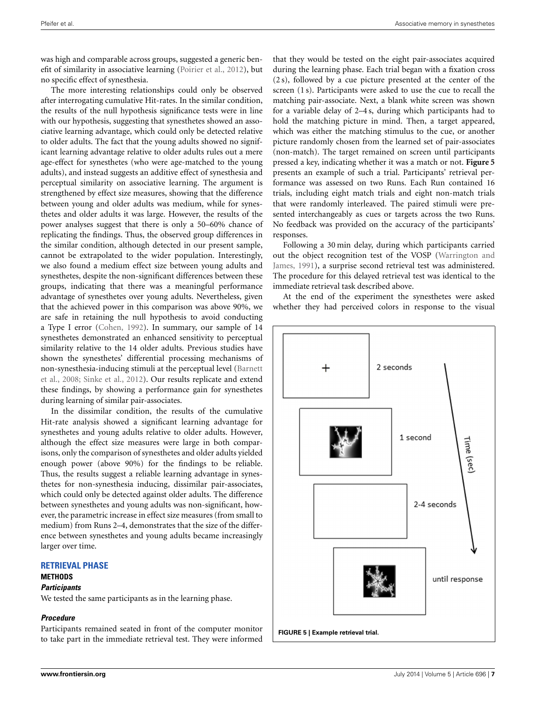was high and comparable across groups, suggested a generic benefit of similarity in associative learning [\(Poirier et al.](#page-11-30), [2012](#page-11-30)), but no specific effect of synesthesia.

The more interesting relationships could only be observed after interrogating cumulative Hit-rates. In the similar condition, the results of the null hypothesis significance tests were in line with our hypothesis, suggesting that synesthetes showed an associative learning advantage, which could only be detected relative to older adults. The fact that the young adults showed no significant learning advantage relative to older adults rules out a mere age-effect for synesthetes (who were age-matched to the young adults), and instead suggests an additive effect of synesthesia and perceptual similarity on associative learning. The argument is strengthened by effect size measures, showing that the difference between young and older adults was medium, while for synesthetes and older adults it was large. However, the results of the power analyses suggest that there is only a 50–60% chance of replicating the findings. Thus, the observed group differences in the similar condition, although detected in our present sample, cannot be extrapolated to the wider population. Interestingly, we also found a medium effect size between young adults and synesthetes, despite the non-significant differences between these groups, indicating that there was a meaningful performance advantage of synesthetes over young adults. Nevertheless, given that the achieved power in this comparison was above 90%, we are safe in retaining the null hypothesis to avoid conducting a Type I error [\(Cohen, 1992](#page-11-34)). In summary, our sample of 14 synesthetes demonstrated an enhanced sensitivity to perceptual similarity relative to the 14 older adults. Previous studies have shown the synesthetes' differential processing mechanisms of non-[synesthesia-inducing stimuli at the perceptual level \(](#page-11-10)Barnett et al., [2008;](#page-11-10) [Sinke et al.](#page-11-11), [2012\)](#page-11-11). Our results replicate and extend these findings, by showing a performance gain for synesthetes during learning of similar pair-associates.

In the dissimilar condition, the results of the cumulative Hit-rate analysis showed a significant learning advantage for synesthetes and young adults relative to older adults. However, although the effect size measures were large in both comparisons, only the comparison of synesthetes and older adults yielded enough power (above 90%) for the findings to be reliable. Thus, the results suggest a reliable learning advantage in synesthetes for non-synesthesia inducing, dissimilar pair-associates, which could only be detected against older adults. The difference between synesthetes and young adults was non-significant, however, the parametric increase in effect size measures (from small to medium) from Runs 2–4, demonstrates that the size of the difference between synesthetes and young adults became increasingly larger over time.

#### **RETRIEVAL PHASE**

#### **METHODS**

#### **Participants**

We tested the same participants as in the learning phase.

#### **Procedure**

Participants remained seated in front of the computer monitor to take part in the immediate retrieval test. They were informed that they would be tested on the eight pair-associates acquired during the learning phase. Each trial began with a fixation cross (2 s), followed by a cue picture presented at the center of the screen (1 s). Participants were asked to use the cue to recall the matching pair-associate. Next, a blank white screen was shown for a variable delay of 2–4 s, during which participants had to hold the matching picture in mind. Then, a target appeared, which was either the matching stimulus to the cue, or another picture randomly chosen from the learned set of pair-associates (non-match). The target remained on screen until participants pressed a key, indicating whether it was a match or not. **[Figure 5](#page-6-0)** presents an example of such a trial. Participants' retrieval performance was assessed on two Runs. Each Run contained 16 trials, including eight match trials and eight non-match trials that were randomly interleaved. The paired stimuli were presented interchangeably as cues or targets across the two Runs. No feedback was provided on the accuracy of the participants' responses.

<span id="page-7-0"></span>Following a 30 min delay, during which participants carried out t[he object recognition test of the VOSP \(](#page-12-5)Warrington and James, [1991](#page-12-5)), a surprise second retrieval test was administered. The procedure for this delayed retrieval test was identical to the immediate retrieval task described above.

At the end of the experiment the synesthetes were asked whether they had perceived colors in response to the visual

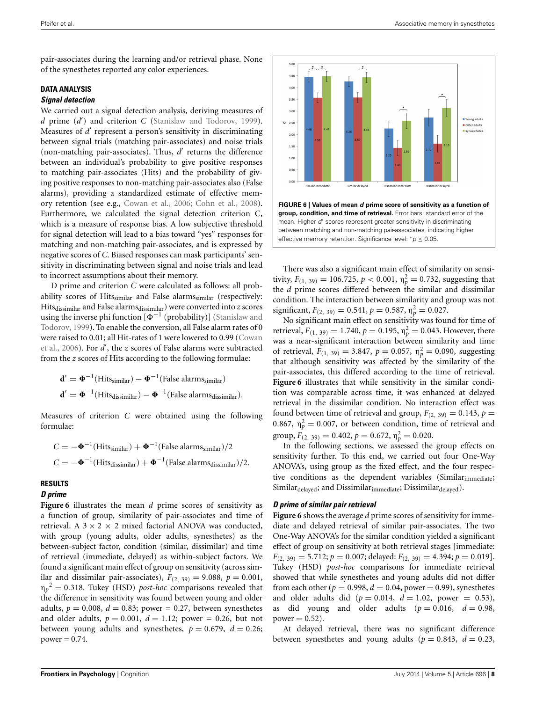pair-associates during the learning and/or retrieval phase. None of the synesthetes reported any color experiences.

## **DATA ANALYSIS**

#### **Signal detection**

We carried out a signal detection analysis, deriving measures of *d* prime (*d'*) and criterion *C* [\(Stanislaw and Todorov](#page-11-37), [1999](#page-11-37)). Measures of d' represent a person's sensitivity in discriminating between signal trials (matching pair-associates) and noise trials (non-matching pair-associates). Thus,  $d'$  returns the difference between an individual's probability to give positive responses to matching pair-associates (Hits) and the probability of giving positive responses to non-matching pair-associates also (False alarms), providing a standardized estimate of effective memory retention (see e.g., [Cowan et al.](#page-11-19), [2006;](#page-11-19) [Cohn et al., 2008](#page-11-20)). Furthermore, we calculated the signal detection criterion C, which is a measure of response bias. A low subjective threshold for signal detection will lead to a bias toward "yes" responses for matching and non-matching pair-associates, and is expressed by negative scores of *C*. Biased responses can mask participants' sensitivity in discriminating between signal and noise trials and lead to incorrect assumptions about their memory.

D prime and criterion *C* were calculated as follows: all probability scores of Hits $_{\text{similar}}$  and False alarms $_{\text{similar}}$  (respectively: Hits<sub>dissimilar</sub> and False alarms<sub>dissimilar</sub>) were converted into *z* scores using the inverse phi function  $[\Phi^{-1}$  (probability)] (Stanislaw and Todorov, [1999](#page-11-37)). To enable the conversion, all False alarm rates of 0 were [raised to 0.01; all Hit-rates of 1 were lowered to 0.99 \(](#page-11-19)Cowan et al., [2006](#page-11-19)). For  $d'$ , the *z* scores of False alarms were subtracted from the *z* scores of Hits according to the following formulae:

$$
\mathbf{d}' = \mathbf{\Phi}^{-1}(\text{Hits}_{\text{similar}}) - \mathbf{\Phi}^{-1}(\text{False } \text{alarms}_{\text{similar}})
$$

$$
\mathbf{d}' = \mathbf{\Phi}^{-1}(\text{Hits}_{\text{dissimilar}}) - \mathbf{\Phi}^{-1}(\text{False } \text{alarms}_{\text{dissimilar}}).
$$

Measures of criterion *C* were obtained using the following formulae:

$$
C = -\Phi^{-1}(\text{Hits}_{\text{similar}}) + \Phi^{-1}(\text{False alarms}_{\text{similar}})/2
$$
  

$$
C = -\Phi^{-1}(\text{Hits}_{\text{dissimilar}}) + \Phi^{-1}(\text{False alarms}_{\text{dissimilar}})/2.
$$

#### **RESULTS**

#### **D prime**

**[Figure 6](#page-7-0)** illustrates the mean *d* prime scores of sensitivity as a function of group, similarity of pair-associates and time of retrieval. A  $3 \times 2 \times 2$  mixed factorial ANOVA was conducted, with group (young adults, older adults, synesthetes) as the between-subject factor, condition (similar, dissimilar) and time of retrieval (immediate, delayed) as within-subject factors. We found a significant main effect of group on sensitivity (across similar and dissimilar pair-associates),  $F_{(2, 39)} = 9.088$ ,  $p = 0.001$ ,  $\eta_p^2 = 0.318$ . Tukey (HSD) *post-hoc* comparisons revealed that the difference in sensitivity was found between young and older adults,  $p = 0.008$ ,  $d = 0.83$ ; power = 0.27, between synesthetes and older adults,  $p = 0.001$ ,  $d = 1.12$ ; power = 0.26, but not between young adults and synesthetes,  $p = 0.679$ ,  $d = 0.26$ ;  $power = 0.74$ .



<span id="page-8-0"></span>There was also a significant main effect of similarity on sensitivity,  $F_{(1, 39)} = 106.725$ ,  $p < 0.001$ ,  $\eta_p^2 = 0.732$ , suggesting that the *d* prime scores differed between the similar and dissimilar condition. The interaction between similarity and group was not

significant,  $F_{(2, 39)} = 0.541$ ,  $p = 0.587$ ,  $\eta_p^2 = 0.027$ . No significant main effect on sensitivity was found for time of retrieval,  $F_{(1, 39)} = 1.740$ ,  $p = 0.195$ ,  $\eta_p^2 = 0.043$ . However, there was a near-significant interaction between similarity and time of retrieval,  $F_{(1, 39)} = 3.847$ ,  $p = 0.057$ ,  $\eta_p^2 = 0.090$ , suggesting that although sensitivity was affected by the similarity of the pair-associates, this differed according to the time of retrieval. **[Figure 6](#page-7-0)** illustrates that while sensitivity in the similar condition was comparable across time, it was enhanced at delayed retrieval in the dissimilar condition. No interaction effect was found between time of retrieval and group,  $F_{(2, 39)} = 0.143$ ,  $p =$ 0.867,  $\eta_p^2 = 0.007$ , or between condition, time of retrieval and group,  $F_{(2, 39)} = 0.402$ ,  $p = 0.672$ ,  $\eta_p^2 = 0.020$ .

In the following sections, we assessed the group effects on sensitivity further. To this end, we carried out four One-Way ANOVA's, using group as the fixed effect, and the four respective conditions as the dependent variables (Similarimmediate; Similar<sub>delaved</sub>; and Dissimilar<sub>immediate</sub>; Dissimilar<sub>delaved</sub>).

#### **D prime of similar pair retrieval**

**[Figure 6](#page-7-0)** shows the average *d* prime scores of sensitivity for immediate and delayed retrieval of similar pair-associates. The two One-Way ANOVA's for the similar condition yielded a significant effect of group on sensitivity at both retrieval stages [immediate:  $F_{(2, 39)} = 5.712; p = 0.007;$  delayed:  $F_{(2, 39)} = 4.394; p = 0.019$ . Tukey (HSD) *post-hoc* comparisons for immediate retrieval showed that while synesthetes and young adults did not differ from each other ( $p = 0.998$ ,  $d = 0.04$ , power = 0.99), synesthetes and older adults did ( $p = 0.014$ ,  $d = 1.02$ , power = 0.53), as did young and older adults  $(p = 0.016, d = 0.98,$  $power = 0.52$ ).

At delayed retrieval, there was no significant difference between synesthetes and young adults ( $p = 0.843$ ,  $d = 0.23$ ,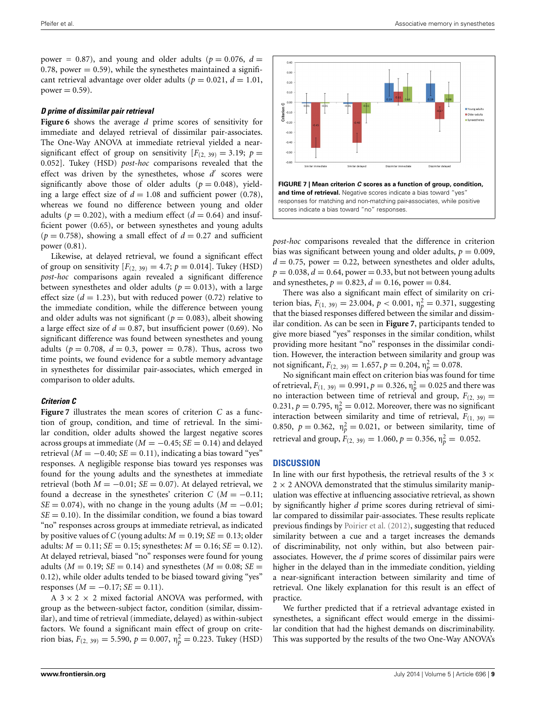power = 0.87), and young and older adults ( $p = 0.076$ ,  $d =$ 0.78, power  $= 0.59$ ), while the synesthetes maintained a significant retrieval advantage over older adults ( $p = 0.021$ ,  $d = 1.01$ ,  $power = 0.59$ ).

#### **D prime of dissimilar pair retrieval**

**[Figure 6](#page-7-0)** shows the average *d* prime scores of sensitivity for immediate and delayed retrieval of dissimilar pair-associates. The One-Way ANOVA at immediate retrieval yielded a nearsignificant effect of group on sensitivity  $[F_{(2, 39)} = 3.19; p =$ 0.052]. Tukey (HSD) *post-hoc* comparisons revealed that the effect was driven by the synesthetes, whose d' scores were significantly above those of older adults  $(p = 0.048)$ , yielding a large effect size of  $d = 1.08$  and sufficient power (0.78), whereas we found no difference between young and older adults ( $p = 0.202$ ), with a medium effect ( $d = 0.64$ ) and insufficient power (0.65), or between synesthetes and young adults  $(p = 0.758)$ , showing a small effect of  $d = 0.27$  and sufficient power (0.81).

Likewise, at delayed retrieval, we found a significant effect of group on sensitivity  $[F_{(2, 39)} = 4.7; p = 0.014]$ . Tukey (HSD) *post-hoc* comparisons again revealed a significant difference between synesthetes and older adults ( $p = 0.013$ ), with a large effect size  $(d = 1.23)$ , but with reduced power  $(0.72)$  relative to the immediate condition, while the difference between young and older adults was not significant ( $p = 0.083$ ), albeit showing a large effect size of  $d = 0.87$ , but insufficient power (0.69). No significant difference was found between synesthetes and young adults ( $p = 0.708$ ,  $d = 0.3$ , power = 0.78). Thus, across two time points, we found evidence for a subtle memory advantage in synesthetes for dissimilar pair-associates, which emerged in comparison to older adults.

#### **Criterion C**

**[Figure 7](#page-8-0)** illustrates the mean scores of criterion *C* as a function of group, condition, and time of retrieval. In the similar condition, older adults showed the largest negative scores across groups at immediate ( $M = -0.45$ ; *SE* = 0.14) and delayed retrieval ( $M = -0.40$ ;  $SE = 0.11$ ), indicating a bias toward "yes" responses. A negligible response bias toward yes responses was found for the young adults and the synesthetes at immediate retrieval (both  $M = -0.01$ ;  $SE = 0.07$ ). At delayed retrieval, we found a decrease in the synesthetes' criterion  $C(M = -0.11;$  $SE = 0.074$ ), with no change in the young adults ( $M = -0.01$ ;  $SE = 0.10$ ). In the dissimilar condition, we found a bias toward "no" responses across groups at immediate retrieval, as indicated by positive values of *C* (young adults:  $M = 0.19$ ;  $SE = 0.13$ ; older adults:  $M = 0.11$ ;  $SE = 0.15$ ; synesthetes:  $M = 0.16$ ;  $SE = 0.12$ ). At delayed retrieval, biased "no" responses were found for young adults ( $M = 0.19$ ;  $SE = 0.14$ ) and synesthetes ( $M = 0.08$ ;  $SE =$ 0.12), while older adults tended to be biased toward giving "yes" responses ( $M = -0.17$ ; *SE* = 0.11).

A  $3 \times 2 \times 2$  mixed factorial ANOVA was performed, with group as the between-subject factor, condition (similar, dissimilar), and time of retrieval (immediate, delayed) as within-subject factors. We found a significant main effect of group on criterion bias,  $F_{(2, 39)} = 5.590$ ,  $p = 0.007$ ,  $\eta_p^2 = 0.223$ . Tukey (HSD)



*post-hoc* comparisons revealed that the difference in criterion bias was significant between young and older adults,  $p = 0.009$ ,  $d = 0.75$ , power = 0.22, between synesthetes and older adults,  $p = 0.038$ ,  $d = 0.64$ , power = 0.33, but not between young adults and synesthetes,  $p = 0.823$ ,  $d = 0.16$ , power = 0.84.

There was also a significant main effect of similarity on criterion bias,  $F_{(1, 39)} = 23.004$ ,  $p < 0.001$ ,  $\eta_p^2 = 0.371$ , suggesting that the biased responses differed between the similar and dissimilar condition. As can be seen in **[Figure 7](#page-8-0)**, participants tended to give more biased "yes" responses in the similar condition, whilst providing more hesitant "no" responses in the dissimilar condition. However, the interaction between similarity and group was not significant,  $F_{(2, 39)} = 1.657$ ,  $p = 0.204$ ,  $\eta_p^2 = 0.078$ .

No significant main effect on criterion bias was found for time of retrieval,  $F_{(1, 39)} = 0.991$ ,  $p = 0.326$ ,  $\eta_p^2 = 0.025$  and there was no interaction between time of retrieval and group,  $F_{(2, 39)} =$ 0.231,  $p = 0.795$ ,  $\eta_p^2 = 0.012$ . Moreover, there was no significant interaction between similarity and time of retrieval,  $F_{(1, 39)} =$ 0.850,  $p = 0.362$ ,  $\eta_p^2 = 0.021$ , or between similarity, time of retrieval and group,  $F_{(2, 39)} = 1.060$ ,  $p = 0.356$ ,  $\eta_p^2 = 0.052$ .

#### **DISCUSSION**

In line with our first hypothesis, the retrieval results of the  $3 \times$  $2 \times 2$  ANOVA demonstrated that the stimulus similarity manipulation was effective at influencing associative retrieval, as shown by significantly higher *d* prime scores during retrieval of similar compared to dissimilar pair-associates. These results replicate previous findings by [Poirier et al.](#page-11-30) [\(2012](#page-11-30)), suggesting that reduced similarity between a cue and a target increases the demands of discriminability, not only within, but also between pairassociates. However, the *d* prime scores of dissimilar pairs were higher in the delayed than in the immediate condition, yielding a near-significant interaction between similarity and time of retrieval. One likely explanation for this result is an effect of practice.

We further predicted that if a retrieval advantage existed in synesthetes, a significant effect would emerge in the dissimilar condition that had the highest demands on discriminability. This was supported by the results of the two One-Way ANOVA's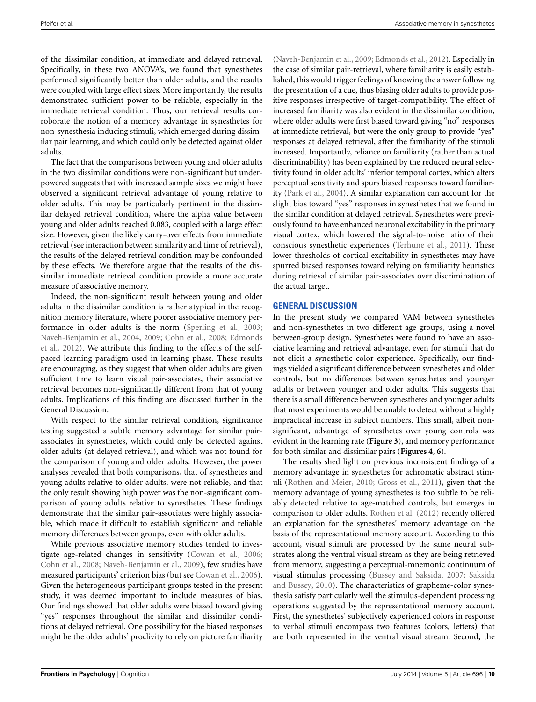of the dissimilar condition, at immediate and delayed retrieval. Specifically, in these two ANOVA's, we found that synesthetes performed significantly better than older adults, and the results were coupled with large effect sizes. More importantly, the results demonstrated sufficient power to be reliable, especially in the immediate retrieval condition. Thus, our retrieval results corroborate the notion of a memory advantage in synesthetes for non-synesthesia inducing stimuli, which emerged during dissimilar pair learning, and which could only be detected against older adults.

The fact that the comparisons between young and older adults in the two dissimilar conditions were non-significant but underpowered suggests that with increased sample sizes we might have observed a significant retrieval advantage of young relative to older adults. This may be particularly pertinent in the dissimilar delayed retrieval condition, where the alpha value between young and older adults reached 0.083, coupled with a large effect size. However, given the likely carry-over effects from immediate retrieval (see interaction between similarity and time of retrieval), the results of the delayed retrieval condition may be confounded by these effects. We therefore argue that the results of the dissimilar immediate retrieval condition provide a more accurate measure of associative memory.

Indeed, the non-significant result between young and older adults in the dissimilar condition is rather atypical in the recognition memory literature, where poorer associative memory per-formance in older adults is the norm [\(Sperling et al.](#page-11-24), [2003;](#page-11-24) [Naveh-Benjamin et al.](#page-11-16)[,](#page-11-22) [2004,](#page-11-16) [2009](#page-11-18)[;](#page-11-22) [Cohn et al.](#page-11-20)[,](#page-11-22) [2008](#page-11-20)[;](#page-11-22) Edmonds et al., [2012\)](#page-11-22). We attribute this finding to the effects of the selfpaced learning paradigm used in learning phase. These results are encouraging, as they suggest that when older adults are given sufficient time to learn visual pair-associates, their associative retrieval becomes non-significantly different from that of young adults. Implications of this finding are discussed further in the General Discussion.

With respect to the similar retrieval condition, significance testing suggested a subtle memory advantage for similar pairassociates in synesthetes, which could only be detected against older adults (at delayed retrieval), and which was not found for the comparison of young and older adults. However, the power analyses revealed that both comparisons, that of synesthetes and young adults relative to older adults, were not reliable, and that the only result showing high power was the non-significant comparison of young adults relative to synesthetes. These findings demonstrate that the similar pair-associates were highly associable, which made it difficult to establish significant and reliable memory differences between groups, even with older adults.

While previous associative memory studies tended to investigate age-related changes in sensitivity [\(Cowan et al.](#page-11-19), [2006;](#page-11-19) [Cohn et al., 2008;](#page-11-20) [Naveh-Benjamin et al.](#page-11-18), [2009](#page-11-18)), few studies have measured participants' criterion bias (but see [Cowan et al.](#page-11-19), [2006](#page-11-19)). Given the heterogeneous participant groups tested in the present study, it was deemed important to include measures of bias. Our findings showed that older adults were biased toward giving "yes" responses throughout the similar and dissimilar conditions at delayed retrieval. One possibility for the biased responses might be the older adults' proclivity to rely on picture familiarity

[\(Naveh-Benjamin et al.](#page-11-18), [2009;](#page-11-18) [Edmonds et al., 2012](#page-11-22)). Especially in the case of similar pair-retrieval, where familiarity is easily established, this would trigger feelings of knowing the answer following the presentation of a cue, thus biasing older adults to provide positive responses irrespective of target-compatibility. The effect of increased familiarity was also evident in the dissimilar condition, where older adults were first biased toward giving "no" responses at immediate retrieval, but were the only group to provide "yes" responses at delayed retrieval, after the familiarity of the stimuli increased. Importantly, reliance on familiarity (rather than actual discriminability) has been explained by the reduced neural selectivity found in older adults' inferior temporal cortex, which alters perceptual sensitivity and spurs biased responses toward familiarity [\(Park et al., 2004](#page-11-38)). A similar explanation can account for the slight bias toward "yes" responses in synesthetes that we found in the similar condition at delayed retrieval. Synesthetes were previously found to have enhanced neuronal excitability in the primary visual cortex, which lowered the signal-to-noise ratio of their conscious synesthetic experiences [\(Terhune et al.](#page-11-39), [2011](#page-11-39)). These lower thresholds of cortical excitability in synesthetes may have spurred biased responses toward relying on familiarity heuristics during retrieval of similar pair-associates over discrimination of the actual target.

#### **GENERAL DISCUSSION**

In the present study we compared VAM between synesthetes and non-synesthetes in two different age groups, using a novel between-group design. Synesthetes were found to have an associative learning and retrieval advantage, even for stimuli that do not elicit a synesthetic color experience. Specifically, our findings yielded a significant difference between synesthetes and older controls, but no differences between synesthetes and younger adults or between younger and older adults. This suggests that there is a small difference between synesthetes and younger adults that most experiments would be unable to detect without a highly impractical increase in subject numbers. This small, albeit nonsignificant, advantage of synesthetes over young controls was evident in the learning rate (**[Figure 3](#page-4-1)**), and memory performance for both similar and dissimilar pairs (**[Figures 4](#page-5-0)**, **[6](#page-7-0)**).

The results shed light on previous inconsistent findings of a memory advantage in synesthetes for achromatic abstract stimuli [\(Rothen and Meier, 2010](#page-11-0); [Gross et al.](#page-11-1), [2011](#page-11-1)), given that the memory advantage of young synesthetes is too subtle to be reliably detected relative to age-matched controls, but emerges in comparison to older adults. [Rothen et al.](#page-11-3) [\(2012](#page-11-3)) recently offered an explanation for the synesthetes' memory advantage on the basis of the representational memory account. According to this account, visual stimuli are processed by the same neural substrates along the ventral visual stream as they are being retrieved from memory, suggesting a perceptual-mnemonic continuum of visual stim[ulus processing](#page-11-41) [\(Bussey and Saksida](#page-11-40)[,](#page-11-41) [2007](#page-11-40)[;](#page-11-41) Saksida and Bussey, [2010](#page-11-41)). The characteristics of grapheme-color synesthesia satisfy particularly well the stimulus-dependent processing operations suggested by the representational memory account. First, the synesthetes' subjectively experienced colors in response to verbal stimuli encompass two features (colors, letters) that are both represented in the ventral visual stream. Second, the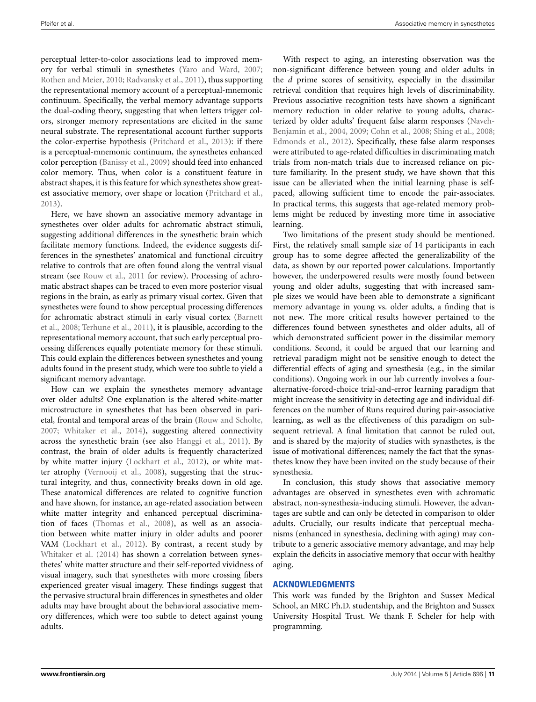<span id="page-11-40"></span><span id="page-11-10"></span><span id="page-11-7"></span>perceptual letter-to-color associations lead to improved memory for verbal stimuli in synesthetes [\(Yaro and Ward](#page-12-0), [2007;](#page-12-0) [Rothen and Meier, 2010](#page-11-0); [Radvansky et al.](#page-11-2), [2011\)](#page-11-2), thus supporting the representational memory account of a perceptual-mnemonic continuum. Specifically, the verbal memory advantage supports the dual-coding theory, suggesting that when letters trigger colors, stronger memory representations are elicited in the same neural substrate. The representational account further supports the color-expertise hypothesis [\(Pritchard et al.](#page-11-6), [2013\)](#page-11-6): if there is a perceptual-mnemonic continuum, the synesthetes enhanced color perception [\(Banissy et al., 2009](#page-11-7)) should feed into enhanced color memory. Thus, when color is a constituent feature in abstract shapes, it is this feature for which synesthetes show greatest associative memory, over shape or location [\(Pritchard et al.,](#page-11-6) [2013](#page-11-6)).

<span id="page-11-34"></span><span id="page-11-33"></span><span id="page-11-27"></span><span id="page-11-20"></span><span id="page-11-19"></span><span id="page-11-9"></span>Here, we have shown an associative memory advantage in synesthetes over older adults for achromatic abstract stimuli, suggesting additional differences in the synesthetic brain which facilitate memory functions. Indeed, the evidence suggests differences in the synesthetes' anatomical and functional circuitry relative to controls that are often found along the ventral visual stream (see [Rouw et al., 2011](#page-11-42) for review). Processing of achromatic abstract shapes can be traced to even more posterior visual regions in the brain, as early as primary visual cortex. Given that synesthetes were found to show perceptual processing differences for [achromatic abstract stimuli in early visual cortex \(](#page-11-10)Barnett et al., [2008;](#page-11-10) [Terhune et al., 2011\)](#page-11-39), it is plausible, according to the representational memory account, that such early perceptual processing differences equally potentiate memory for these stimuli. This could explain the differences between synesthetes and young adults found in the present study, which were too subtle to yield a significant memory advantage.

<span id="page-11-43"></span><span id="page-11-36"></span><span id="page-11-35"></span><span id="page-11-31"></span><span id="page-11-28"></span><span id="page-11-25"></span><span id="page-11-23"></span><span id="page-11-22"></span><span id="page-11-15"></span><span id="page-11-14"></span><span id="page-11-12"></span><span id="page-11-5"></span><span id="page-11-1"></span>How can we explain the synesthetes memory advantage over older adults? One explanation is the altered white-matter microstructure in synesthetes that has been observed in parietal, frontal and temporal areas of the brain [\(Rouw and Scholte,](#page-11-8) [2007](#page-11-8); [Whitaker et al., 2014](#page-12-3)), suggesting altered connectivity across the synesthetic brain (see also [Hanggi et al., 2011](#page-11-43)). By contrast, the brain of older adults is frequently characterized by white matter injury [\(Lockhart et al., 2012](#page-11-25)), or white matter atrophy [\(Vernooij et al., 2008](#page-12-6)), suggesting that the structural integrity, and thus, connectivity breaks down in old age. These anatomical differences are related to cognitive function and have shown, for instance, an age-related association between white matter integrity and enhanced perceptual discrimination of faces [\(Thomas et al., 2008\)](#page-12-7), as well as an association between white matter injury in older adults and poorer VAM [\(Lockhart et al., 2012\)](#page-11-25). By contrast, a recent study by [Whitaker et al. \(2014\)](#page-12-3) has shown a correlation between synesthetes' white matter structure and their self-reported vividness of visual imagery, such that synesthetes with more crossing fibers experienced greater visual imagery. These findings suggest that the pervasive structural brain differences in synesthetes and older adults may have brought about the behavioral associative memory differences, which were too subtle to detect against young adults.

<span id="page-11-18"></span><span id="page-11-17"></span><span id="page-11-16"></span><span id="page-11-4"></span>With respect to aging, an interesting observation was the non-significant difference between young and older adults in the *d* prime scores of sensitivity, especially in the dissimilar retrieval condition that requires high levels of discriminability. Previous associative recognition tests have shown a significant memory reduction in older relative to young adults, characterized by old[er adults' frequent false alarm responses \(](#page-11-16)Naveh-Benjamin et al., [2004,](#page-11-16) [2009](#page-11-18); [Cohn et al.](#page-11-20), [2008](#page-11-20); [Shing et al.](#page-11-21), [2008;](#page-11-21) [Edmonds et al., 2012\)](#page-11-22). Specifically, these false alarm responses were attributed to age-related difficulties in discriminating match trials from non-match trials due to increased reliance on picture familiarity. In the present study, we have shown that this issue can be alleviated when the initial learning phase is selfpaced, allowing sufficient time to encode the pair-associates. In practical terms, this suggests that age-related memory problems might be reduced by investing more time in associative learning.

<span id="page-11-38"></span><span id="page-11-30"></span><span id="page-11-26"></span><span id="page-11-13"></span><span id="page-11-6"></span><span id="page-11-2"></span><span id="page-11-0"></span>Two limitations of the present study should be mentioned. First, the relatively small sample size of 14 participants in each group has to some degree affected the generalizability of the data, as shown by our reported power calculations. Importantly however, the underpowered results were mostly found between young and older adults, suggesting that with increased sample sizes we would have been able to demonstrate a significant memory advantage in young vs. older adults, a finding that is not new. The more critical results however pertained to the differences found between synesthetes and older adults, all of which demonstrated sufficient power in the dissimilar memory conditions. Second, it could be argued that our learning and retrieval paradigm might not be sensitive enough to detect the differential effects of aging and synesthesia (e.g., in the similar conditions). Ongoing work in our lab currently involves a fouralternative-forced-choice trial-and-error learning paradigm that might increase the sensitivity in detecting age and individual differences on the number of Runs required during pair-associative learning, as well as the effectiveness of this paradigm on subsequent retrieval. A final limitation that cannot be ruled out, and is shared by the majority of studies with synasthetes, is the issue of motivational differences; namely the fact that the synasthetes know they have been invited on the study because of their synesthesia.

<span id="page-11-42"></span><span id="page-11-41"></span><span id="page-11-32"></span><span id="page-11-29"></span><span id="page-11-21"></span><span id="page-11-11"></span><span id="page-11-8"></span><span id="page-11-3"></span>In conclusion, this study shows that associative memory advantages are observed in synesthetes even with achromatic abstract, non-synesthesia-inducing stimuli. However, the advantages are subtle and can only be detected in comparison to older adults. Crucially, our results indicate that perceptual mechanisms (enhanced in synesthesia, declining with aging) may contribute to a generic associative memory advantage, and may help explain the deficits in associative memory that occur with healthy aging.

#### <span id="page-11-24"></span>**ACKNOWLEDGMENTS**

<span id="page-11-39"></span><span id="page-11-37"></span>This work was funded by the Brighton and Sussex Medical School, an MRC Ph.D. studentship, and the Brighton and Sussex University Hospital Trust. We thank F. Scheler for help with programming.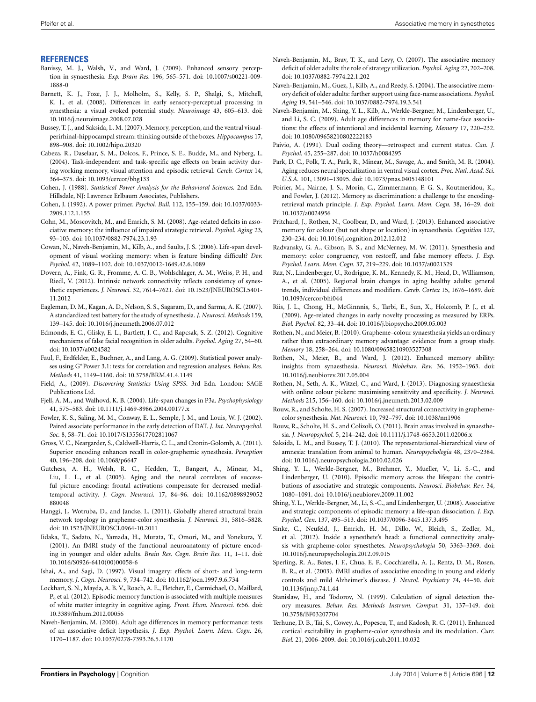#### <span id="page-12-7"></span>**REFERENCES**

- Banissy, M. J., Walsh, V., and Ward, J. (2009). Enhanced sensory perception in synaesthesia. *Exp. Brain Res.* 196, 565–571. doi: 10.1007/s00221-009- 1888-0
- <span id="page-12-1"></span>Barnett, K. J., Foxe, J. J., Molholm, S., Kelly, S. P., Shalgi, S., Mitchell, K. J., et al. (2008). Differences in early sensory-perceptual processing in synesthesia: a visual evoked potential study. *Neuroimage* 43, 605–613. doi: 10.1016/j.neuroimage.2008.07.028
- <span id="page-12-6"></span>Bussey, T. J., and Saksida, L. M. (2007). Memory, perception, and the ventral visualperirhinal-hippocampal stream: thinking outside of the boxes. *Hippocampus* 17, 898–908. doi: 10.1002/hipo.20320
- Cabeza, R., Daselaar, S. M., Dolcos, F., Prince, S. E., Budde, M., and Nyberg, L. (2004). Task-independent and task-specific age effects on brain activity during working memory, visual attention and episodic retrieval. *Cereb. Cortex* 14, 364–375. doi: 10.1093/cercor/bhg133
- <span id="page-12-5"></span><span id="page-12-2"></span>Cohen, J. (1988). *Statistical Power Analysis for the Behavioral Sciences.* 2nd Edn. Hillsdale, NJ: Lawrence Erlbaum Associates, Publishers.
- <span id="page-12-3"></span>Cohen, J. (1992). A power primer. *Psychol. Bull.* 112, 155–159. doi: 10.1037/0033- 2909.112.1.155
- Cohn, M., Moscovitch, M., and Emrich, S. M. (2008). Age-related deficits in associative memory: the influence of impaired strategic retrieval. *Psychol. Aging* 23, 93–103. doi: 10.1037/0882-7974.23.1.93
- Cowan, N., Naveh-Benjamin, M., Kilb, A., and Saults, J. S. (2006). Life-span development of visual working memory: when is feature binding difficult? *Dev. Psychol.* 42, 1089–1102. doi: 10.1037/0012-1649.42.6.1089
- Dovern, A., Fink, G. R., Fromme, A. C. B., Wohlschlager, A. M., Weiss, P. H., and Riedl, V. (2012). Intrinsic network connectivity reflects consistency of synesthetic experiences. *J. Neurosci.* 32, 7614–7621. doi: 10.1523/JNEUROSCI.5401- 11.2012
- Eagleman, D. M., Kagan, A. D., Nelson, S. S., Sagaram, D., and Sarma, A. K. (2007). A standardized test battery for the study of synesthesia. *J. Neurosci. Methods* 159, 139–145. doi: 10.1016/j.jneumeth.2006.07.012
- Edmonds, E. C., Glisky, E. L., Bartlett, J. C., and Rapcsak, S. Z. (2012). Cognitive mechanisms of false facial recognition in older adults. *Psychol. Aging* 27, 54–60. doi: 10.1037/a0024582
- Faul, F., Erdfelder, E., Buchner, A., and Lang, A. G. (2009). Statistical power analyses using G∗Power 3.1: tests for correlation and regression analyses. *Behav. Res. Methods* 41, 1149–1160. doi: 10.3758/BRM.41.4.1149
- Field, A., (2009). *Discovering Statistics Using SPSS*. 3rd Edn. London: SAGE Publications Ltd.
- Fjell, A. M., and Walhovd, K. B. (2004). Life-span changes in P3a. *Psychophysiology* 41, 575–583. doi: 10.1111/j.1469-8986.2004.00177.x
- Fowler, K. S., Saling, M. M., Conway, E. L., Semple, J. M., and Louis, W. J. (2002). Paired associate performance in the early detection of DAT. *J. Int. Neuropsychol. Soc.* 8, 58–71. doi: 10.1017/S1355617702811067
- Gross, V. C., Neargarder, S., Caldwell-Harris, C. L., and Cronin-Golomb, A. (2011). Superior encoding enhances recall in color-graphemic synesthesia. *Perception* 40, 196–208. doi: 10.1068/p6647
- Gutchess, A. H., Welsh, R. C., Hedden, T., Bangert, A., Minear, M., Liu, L. L., et al. (2005). Aging and the neural correlates of successful picture encoding: frontal activations compensate for decreased medialtemporal activity. *J. Cogn. Neurosci.* 17, 84–96. doi: 10.1162/0898929052 880048
- Hanggi, J., Wotruba, D., and Jancke, L. (2011). Globally altered structural brain network topology in grapheme-color synesthesia. *J. Neurosci.* 31, 5816–5828. doi: 10.1523/JNEUROSCI.0964-10.2011
- Iidaka, T., Sadato, N., Yamada, H., Murata, T., Omori, M., and Yonekura, Y. (2001). An fMRI study of the functional neuroanatomy of picture encoding in younger and older adults. *Brain Res. Cogn. Brain Res.* 11, 1–11. doi: 10.1016/S0926-6410(00)00058-6
- Ishai, A., and Sagi, D. (1997). Visual imagery: effects of short- and long-term memory. *J. Cogn. Neurosci.* 9, 734–742. doi: 10.1162/jocn.1997.9.6.734
- Lockhart, S. N., Mayda, A. B. V., Roach, A. E., Fletcher, E., Carmichael, O., Maillard, P., et al. (2012). Episodic memory function is associated with multiple measures of white matter integrity in cognitive aging. *Front. Hum. Neurosci.* 6:56. doi: 10.3389/fnhum.2012.00056
- Naveh-Benjamin, M. (2000). Adult age differences in memory performance: tests of an associative deficit hypothesis. *J. Exp. Psychol. Learn. Mem. Cogn.* 26, 1170–1187. doi: 10.1037/0278-7393.26.5.1170
- <span id="page-12-4"></span>Naveh-Benjamin, M., Brav, T. K., and Levy, O. (2007). The associative memory deficit of older adults: the role of strategy utilization. *Psychol. Aging* 22, 202–208. doi: 10.1037/0882-7974.22.1.202
- <span id="page-12-0"></span>Naveh-Benjamin, M., Guez, J., Kilb, A., and Reedy, S. (2004). The associative memory deficit of older adults: further support using face-name associations. *Psychol. Aging* 19, 541–546. doi: 10.1037/0882-7974.19.3.541
- Naveh-Benjamin, M., Shing, Y. L., Kilb, A., Werkle-Bergner, M., Lindenberger, U., and Li, S. C. (2009). Adult age differences in memory for name-face associations: the effects of intentional and incidental learning. *Memory* 17, 220–232. doi: 10.1080/09658210802222183
- Paivio, A. (1991). Dual coding theory—retrospect and current status. *Can. J. Psychol.* 45, 255–287. doi: 10.1037/h0084295
- Park, D. C., Polk, T. A., Park, R., Minear, M., Savage, A., and Smith, M. R. (2004). Aging reduces neural specialization in ventral visual cortex. *Proc. Natl. Acad. Sci. U.S.A.* 101, 13091–13095. doi: 10.1073/pnas.0405148101
- Poirier, M., Nairne, J. S., Morin, C., Zimmermann, F. G. S., Koutmeridou, K., and Fowler, J. (2012). Memory as discrimination: a challenge to the encodingretrieval match principle. *J. Exp. Psychol. Learn. Mem. Cogn.* 38, 16–29. doi: 10.1037/a0024956
- Pritchard, J., Rothen, N., Coolbear, D., and Ward, J. (2013). Enhanced associative memory for colour (but not shape or location) in synaesthesia. *Cognition* 127, 230–234. doi: 10.1016/j.cognition.2012.12.012
- Radvansky, G. A., Gibson, B. S., and McNerney, M. W. (2011). Synesthesia and memory: color congruency, von restorff, and false memory effects. *J. Exp. Psychol. Learn. Mem. Cogn.* 37, 219–229. doi: 10.1037/a0021329
- Raz, N., Lindenberger, U., Rodrigue, K. M., Kennedy, K. M., Head, D., Williamson, A., et al. (2005). Regional brain changes in aging healthy adults: general trends, individual differences and modifiers. *Cereb. Cortex* 15, 1676–1689. doi: 10.1093/cercor/bhi044
- Riis, J. L., Chong, H., McGinnnis, S., Tarbi, E., Sun, X., Holcomb, P. J., et al. (2009). Age-related changes in early novelty processing as measured by ERPs. *Biol. Psychol.* 82, 33–44. doi: 10.1016/j.biopsycho.2009.05.003
- Rothen, N., and Meier, B. (2010). Grapheme–colour synaesthesia yields an ordinary rather than extraordinary memory advantage: evidence from a group study. *Memory* 18, 258–264. doi: 10.1080/09658210903527308
- Rothen, N., Meier, B., and Ward, J. (2012). Enhanced memory ability: insights from synaesthesia. *Neurosci. Biobehav. Rev.* 36, 1952–1963. doi: 10.1016/j.neubiorev.2012.05.004
- Rothen, N., Seth, A. K., Witzel, C., and Ward, J. (2013). Diagnosing synaesthesia with online colour pickers: maximising sensitivity and specificity*. J. Neurosci. Methods* 215, 156–160. doi: 10.1016/j.jneumeth.2013.02.009
- Rouw, R., and Scholte, H. S. (2007). Increased structural connectivity in graphemecolor synesthesia. *Nat. Neurosci.* 10, 792–797. doi: 10.1038/nn1906
- Rouw, R., Scholte, H. S., and Colizoli, O. (2011). Brain areas involved in synaesthesia. *J. Neuropsychol.* 5, 214–242. doi: 10.1111/j.1748-6653.2011.02006.x
- Saksida, L. M., and Bussey, T. J. (2010). The representational-hierarchical view of amnesia: translation from animal to human. *Neuropsychologia* 48, 2370–2384. doi: 10.1016/j.neuropsychologia.2010.02.026
- Shing, Y. L., Werkle-Bergner, M., Brehmer, Y., Mueller, V., Li, S.-C., and Lindenberger, U. (2010). Episodic memory across the lifespan: the contributions of associative and strategic components. *Neurosci. Biobehav. Rev.* 34, 1080–1091. doi: 10.1016/j.neubiorev.2009.11.002
- Shing, Y. L., Werkle-Bergner, M., Li, S.-C., and Lindenberger, U. (2008). Associative and strategic components of episodic memory: a life-span dissociation. *J. Exp. Psychol. Gen.* 137, 495–513. doi: 10.1037/0096-3445.137.3.495
- Sinke, C., Neufeld, J., Emrich, H. M., Dillo, W., Bleich, S., Zedler, M., et al. (2012). Inside a synesthete's head: a functional connectivity analysis with grapheme-color synesthetes. *Neuropsychologia* 50, 3363–3369. doi: 10.1016/j.neuropsychologia.2012.09.015
- Sperling, R. A., Bates, J. F., Chua, E. F., Cocchiarella, A. J., Rentz, D. M., Rosen, B. R., et al. (2003). fMRI studies of associative encoding in young and elderly controls and mild Alzheimer's disease. *J. Neurol. Psychiatry* 74, 44–50. doi: 10.1136/jnnp.74.1.44
- Stanislaw, H., and Todorov, N. (1999). Calculation of signal detection theory measures. *Behav. Res. Methods Instrum. Comput.* 31, 137–149. doi: 10.3758/BF03207704
- Terhune, D. B., Tai, S., Cowey, A., Popescu, T., and Kadosh, R. C. (2011). Enhanced cortical excitability in grapheme-color synesthesia and its modulation. *Curr. Biol.* 21, 2006–2009. doi: 10.1016/j.cub.2011.10.032